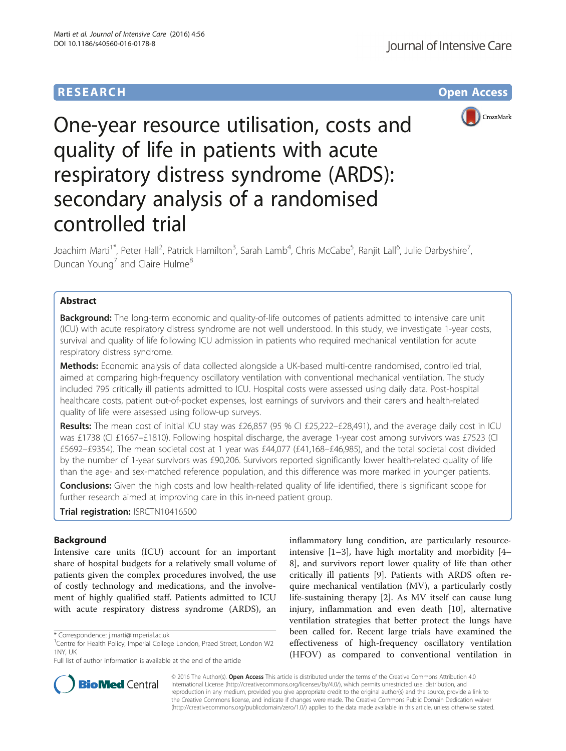# **RESEARCH CHE Open Access**



One-year resource utilisation, costs and quality of life in patients with acute respiratory distress syndrome (ARDS): secondary analysis of a randomised controlled trial

Joachim Marti<sup>1\*</sup>, Peter Hall<sup>2</sup>, Patrick Hamilton<sup>3</sup>, Sarah Lamb<sup>4</sup>, Chris McCabe<sup>5</sup>, Ranjit Lall<sup>6</sup>, Julie Darbyshire<sup>7</sup> , Duncan Young $^7$  and Claire Hulme $^8$ 

# Abstract

**Background:** The long-term economic and quality-of-life outcomes of patients admitted to intensive care unit (ICU) with acute respiratory distress syndrome are not well understood. In this study, we investigate 1-year costs, survival and quality of life following ICU admission in patients who required mechanical ventilation for acute respiratory distress syndrome.

Methods: Economic analysis of data collected alongside a UK-based multi-centre randomised, controlled trial, aimed at comparing high-frequency oscillatory ventilation with conventional mechanical ventilation. The study included 795 critically ill patients admitted to ICU. Hospital costs were assessed using daily data. Post-hospital healthcare costs, patient out-of-pocket expenses, lost earnings of survivors and their carers and health-related quality of life were assessed using follow-up surveys.

Results: The mean cost of initial ICU stay was £26,857 (95 % CI £25,222–£28,491), and the average daily cost in ICU was £1738 (CI £1667–£1810). Following hospital discharge, the average 1-year cost among survivors was £7523 (CI £5692–£9354). The mean societal cost at 1 year was £44,077 (£41,168–£46,985), and the total societal cost divided by the number of 1-year survivors was £90,206. Survivors reported significantly lower health-related quality of life than the age- and sex-matched reference population, and this difference was more marked in younger patients.

Conclusions: Given the high costs and low health-related quality of life identified, there is significant scope for further research aimed at improving care in this in-need patient group.

Trial registration: [ISRCTN10416500](http://www.isrctn.com/ISRCTN10416500)

# Background

Intensive care units (ICU) account for an important share of hospital budgets for a relatively small volume of patients given the complex procedures involved, the use of costly technology and medications, and the involvement of highly qualified staff. Patients admitted to ICU with acute respiratory distress syndrome (ARDS), an

inflammatory lung condition, are particularly resourceintensive  $[1-3]$  $[1-3]$  $[1-3]$  $[1-3]$ , have high mortality and morbidity  $[4 [4 [4-$ [8\]](#page-9-0), and survivors report lower quality of life than other critically ill patients [[9](#page-9-0)]. Patients with ARDS often require mechanical ventilation (MV), a particularly costly life-sustaining therapy [[2](#page-9-0)]. As MV itself can cause lung injury, inflammation and even death [[10\]](#page-9-0), alternative ventilation strategies that better protect the lungs have been called for. Recent large trials have examined the effectiveness of high-frequency oscillatory ventilation (HFOV) as compared to conventional ventilation in



© 2016 The Author(s). Open Access This article is distributed under the terms of the Creative Commons Attribution 4.0 International License [\(http://creativecommons.org/licenses/by/4.0/](http://creativecommons.org/licenses/by/4.0/)), which permits unrestricted use, distribution, and reproduction in any medium, provided you give appropriate credit to the original author(s) and the source, provide a link to the Creative Commons license, and indicate if changes were made. The Creative Commons Public Domain Dedication waiver [\(http://creativecommons.org/publicdomain/zero/1.0/](http://creativecommons.org/publicdomain/zero/1.0/)) applies to the data made available in this article, unless otherwise stated.

<sup>\*</sup> Correspondence: [j.marti@imperial.ac.uk](mailto:j.marti@imperial.ac.uk) <sup>1</sup>

<sup>&</sup>lt;sup>1</sup>Centre for Health Policy, Imperial College London, Praed Street, London W2 1NY, UK

Full list of author information is available at the end of the article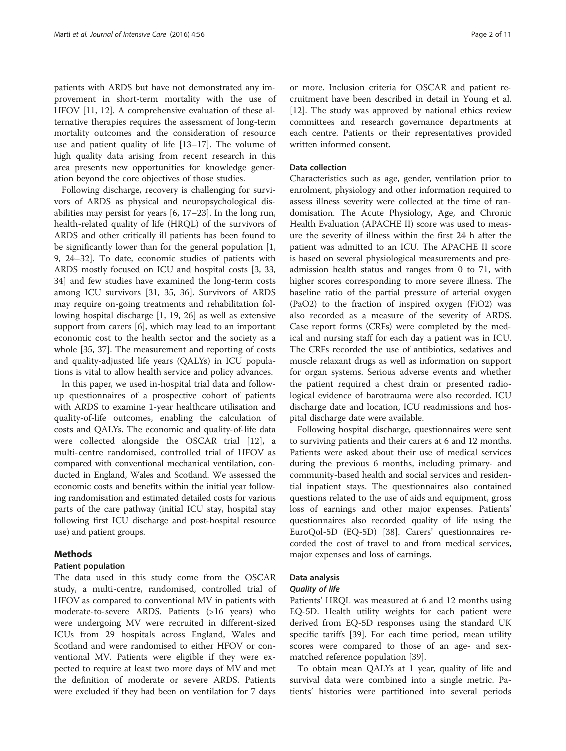patients with ARDS but have not demonstrated any improvement in short-term mortality with the use of HFOV [\[11](#page-9-0), [12](#page-9-0)]. A comprehensive evaluation of these alternative therapies requires the assessment of long-term mortality outcomes and the consideration of resource use and patient quality of life [[13](#page-9-0)–[17](#page-9-0)]. The volume of high quality data arising from recent research in this area presents new opportunities for knowledge generation beyond the core objectives of those studies.

Following discharge, recovery is challenging for survivors of ARDS as physical and neuropsychological disabilities may persist for years [[6, 17](#page-9-0)–[23](#page-9-0)]. In the long run, health-related quality of life (HRQL) of the survivors of ARDS and other critically ill patients has been found to be significantly lower than for the general population [\[1](#page-9-0), [9, 24](#page-9-0)–[32](#page-9-0)]. To date, economic studies of patients with ARDS mostly focused on ICU and hospital costs [[3, 33](#page-9-0), [34\]](#page-9-0) and few studies have examined the long-term costs among ICU survivors [\[31](#page-9-0), [35, 36](#page-9-0)]. Survivors of ARDS may require on-going treatments and rehabilitation following hospital discharge [[1, 19](#page-9-0), [26](#page-9-0)] as well as extensive support from carers [[6\]](#page-9-0), which may lead to an important economic cost to the health sector and the society as a whole [\[35](#page-9-0), [37](#page-9-0)]. The measurement and reporting of costs and quality-adjusted life years (QALYs) in ICU populations is vital to allow health service and policy advances.

In this paper, we used in-hospital trial data and followup questionnaires of a prospective cohort of patients with ARDS to examine 1-year healthcare utilisation and quality-of-life outcomes, enabling the calculation of costs and QALYs. The economic and quality-of-life data were collected alongside the OSCAR trial [\[12](#page-9-0)], a multi-centre randomised, controlled trial of HFOV as compared with conventional mechanical ventilation, conducted in England, Wales and Scotland. We assessed the economic costs and benefits within the initial year following randomisation and estimated detailed costs for various parts of the care pathway (initial ICU stay, hospital stay following first ICU discharge and post-hospital resource use) and patient groups.

# Methods

### Patient population

The data used in this study come from the OSCAR study, a multi-centre, randomised, controlled trial of HFOV as compared to conventional MV in patients with moderate-to-severe ARDS. Patients (>16 years) who were undergoing MV were recruited in different-sized ICUs from 29 hospitals across England, Wales and Scotland and were randomised to either HFOV or conventional MV. Patients were eligible if they were expected to require at least two more days of MV and met the definition of moderate or severe ARDS. Patients were excluded if they had been on ventilation for 7 days or more. Inclusion criteria for OSCAR and patient recruitment have been described in detail in Young et al. [[12\]](#page-9-0). The study was approved by national ethics review committees and research governance departments at each centre. Patients or their representatives provided written informed consent.

### Data collection

Characteristics such as age, gender, ventilation prior to enrolment, physiology and other information required to assess illness severity were collected at the time of randomisation. The Acute Physiology, Age, and Chronic Health Evaluation (APACHE II) score was used to measure the severity of illness within the first 24 h after the patient was admitted to an ICU. The APACHE II score is based on several physiological measurements and preadmission health status and ranges from 0 to 71, with higher scores corresponding to more severe illness. The baseline ratio of the partial pressure of arterial oxygen (PaO2) to the fraction of inspired oxygen (FiO2) was also recorded as a measure of the severity of ARDS. Case report forms (CRFs) were completed by the medical and nursing staff for each day a patient was in ICU. The CRFs recorded the use of antibiotics, sedatives and muscle relaxant drugs as well as information on support for organ systems. Serious adverse events and whether the patient required a chest drain or presented radiological evidence of barotrauma were also recorded. ICU discharge date and location, ICU readmissions and hospital discharge date were available.

Following hospital discharge, questionnaires were sent to surviving patients and their carers at 6 and 12 months. Patients were asked about their use of medical services during the previous 6 months, including primary- and community-based health and social services and residential inpatient stays. The questionnaires also contained questions related to the use of aids and equipment, gross loss of earnings and other major expenses. Patients' questionnaires also recorded quality of life using the EuroQol-5D (EQ-5D) [[38\]](#page-9-0). Carers' questionnaires recorded the cost of travel to and from medical services, major expenses and loss of earnings.

# Data analysis

# Quality of life

Patients' HRQL was measured at 6 and 12 months using EQ-5D. Health utility weights for each patient were derived from EQ-5D responses using the standard UK specific tariffs [[39](#page-9-0)]. For each time period, mean utility scores were compared to those of an age- and sexmatched reference population [\[39](#page-9-0)].

To obtain mean QALYs at 1 year, quality of life and survival data were combined into a single metric. Patients' histories were partitioned into several periods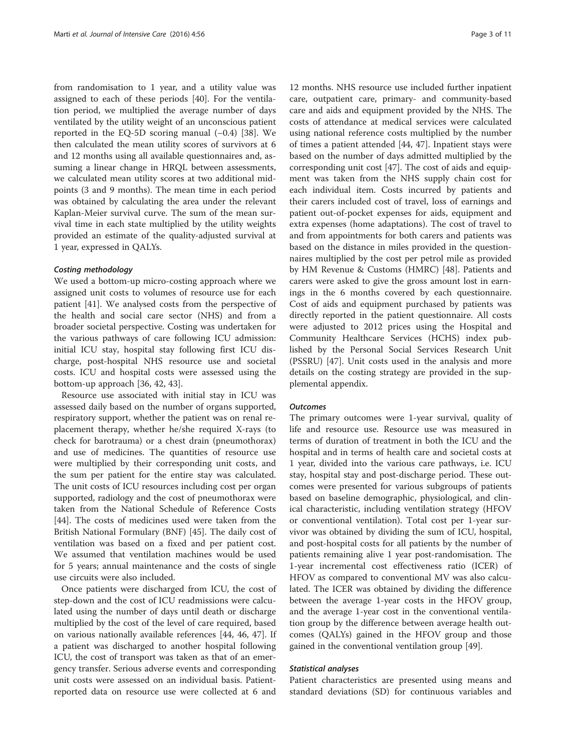from randomisation to 1 year, and a utility value was assigned to each of these periods [\[40](#page-9-0)]. For the ventilation period, we multiplied the average number of days ventilated by the utility weight of an unconscious patient reported in the EQ-5D scoring manual (−0.4) [[38\]](#page-9-0). We then calculated the mean utility scores of survivors at 6 and 12 months using all available questionnaires and, assuming a linear change in HRQL between assessments, we calculated mean utility scores at two additional midpoints (3 and 9 months). The mean time in each period was obtained by calculating the area under the relevant Kaplan-Meier survival curve. The sum of the mean survival time in each state multiplied by the utility weights provided an estimate of the quality-adjusted survival at 1 year, expressed in QALYs.

### Costing methodology

We used a bottom-up micro-costing approach where we assigned unit costs to volumes of resource use for each patient [\[41\]](#page-9-0). We analysed costs from the perspective of the health and social care sector (NHS) and from a broader societal perspective. Costing was undertaken for the various pathways of care following ICU admission: initial ICU stay, hospital stay following first ICU discharge, post-hospital NHS resource use and societal costs. ICU and hospital costs were assessed using the bottom-up approach [\[36](#page-9-0), [42](#page-9-0), [43](#page-9-0)].

Resource use associated with initial stay in ICU was assessed daily based on the number of organs supported, respiratory support, whether the patient was on renal replacement therapy, whether he/she required X-rays (to check for barotrauma) or a chest drain (pneumothorax) and use of medicines. The quantities of resource use were multiplied by their corresponding unit costs, and the sum per patient for the entire stay was calculated. The unit costs of ICU resources including cost per organ supported, radiology and the cost of pneumothorax were taken from the National Schedule of Reference Costs [[44\]](#page-10-0). The costs of medicines used were taken from the British National Formulary (BNF) [\[45](#page-10-0)]. The daily cost of ventilation was based on a fixed and per patient cost. We assumed that ventilation machines would be used for 5 years; annual maintenance and the costs of single use circuits were also included.

Once patients were discharged from ICU, the cost of step-down and the cost of ICU readmissions were calculated using the number of days until death or discharge multiplied by the cost of the level of care required, based on various nationally available references [\[44](#page-10-0), [46, 47](#page-10-0)]. If a patient was discharged to another hospital following ICU, the cost of transport was taken as that of an emergency transfer. Serious adverse events and corresponding unit costs were assessed on an individual basis. Patientreported data on resource use were collected at 6 and

12 months. NHS resource use included further inpatient care, outpatient care, primary- and community-based care and aids and equipment provided by the NHS. The costs of attendance at medical services were calculated using national reference costs multiplied by the number of times a patient attended [\[44](#page-10-0), [47](#page-10-0)]. Inpatient stays were based on the number of days admitted multiplied by the corresponding unit cost [\[47\]](#page-10-0). The cost of aids and equipment was taken from the NHS supply chain cost for each individual item. Costs incurred by patients and their carers included cost of travel, loss of earnings and patient out-of-pocket expenses for aids, equipment and extra expenses (home adaptations). The cost of travel to and from appointments for both carers and patients was based on the distance in miles provided in the questionnaires multiplied by the cost per petrol mile as provided by HM Revenue & Customs (HMRC) [[48\]](#page-10-0). Patients and carers were asked to give the gross amount lost in earnings in the 6 months covered by each questionnaire. Cost of aids and equipment purchased by patients was directly reported in the patient questionnaire. All costs were adjusted to 2012 prices using the Hospital and Community Healthcare Services (HCHS) index published by the Personal Social Services Research Unit (PSSRU) [[47\]](#page-10-0). Unit costs used in the analysis and more details on the costing strategy are provided in the supplemental appendix.

#### **Outcomes**

The primary outcomes were 1-year survival, quality of life and resource use. Resource use was measured in terms of duration of treatment in both the ICU and the hospital and in terms of health care and societal costs at 1 year, divided into the various care pathways, i.e. ICU stay, hospital stay and post-discharge period. These outcomes were presented for various subgroups of patients based on baseline demographic, physiological, and clinical characteristic, including ventilation strategy (HFOV or conventional ventilation). Total cost per 1-year survivor was obtained by dividing the sum of ICU, hospital, and post-hospital costs for all patients by the number of patients remaining alive 1 year post-randomisation. The 1-year incremental cost effectiveness ratio (ICER) of HFOV as compared to conventional MV was also calculated. The ICER was obtained by dividing the difference between the average 1-year costs in the HFOV group, and the average 1-year cost in the conventional ventilation group by the difference between average health outcomes (QALYs) gained in the HFOV group and those gained in the conventional ventilation group [[49\]](#page-10-0).

# Statistical analyses

Patient characteristics are presented using means and standard deviations (SD) for continuous variables and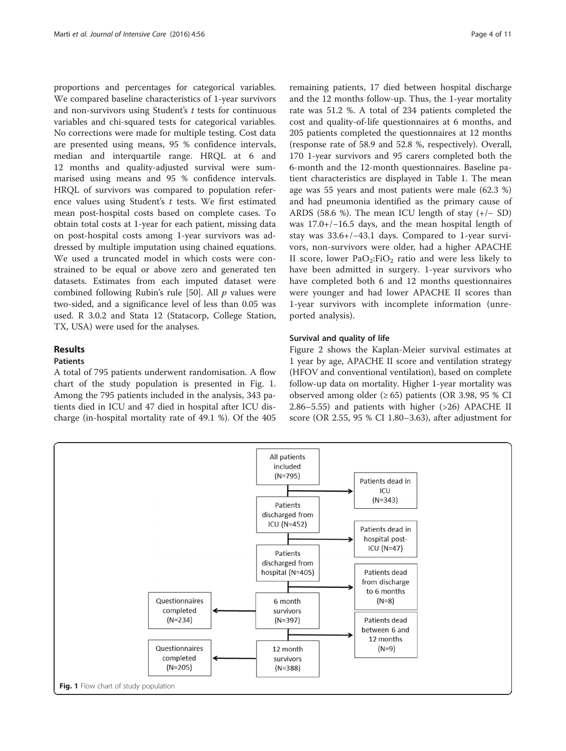proportions and percentages for categorical variables. We compared baseline characteristics of 1-year survivors and non-survivors using Student's t tests for continuous variables and chi-squared tests for categorical variables. No corrections were made for multiple testing. Cost data are presented using means, 95 % confidence intervals, median and interquartile range. HRQL at 6 and 12 months and quality-adjusted survival were summarised using means and 95 % confidence intervals. HRQL of survivors was compared to population reference values using Student's  $t$  tests. We first estimated mean post-hospital costs based on complete cases. To obtain total costs at 1-year for each patient, missing data on post-hospital costs among 1-year survivors was addressed by multiple imputation using chained equations. We used a truncated model in which costs were constrained to be equal or above zero and generated ten datasets. Estimates from each imputed dataset were combined following Rubin's rule [[50\]](#page-10-0). All  $p$  values were two-sided, and a significance level of less than 0.05 was used. R 3.0.2 and Stata 12 (Statacorp, College Station, TX, USA) were used for the analyses.

# Results

### Patients

A total of 795 patients underwent randomisation. A flow chart of the study population is presented in Fig. 1. Among the 795 patients included in the analysis, 343 patients died in ICU and 47 died in hospital after ICU discharge (in-hospital mortality rate of 49.1 %). Of the 405

remaining patients, 17 died between hospital discharge and the 12 months follow-up. Thus, the 1-year mortality rate was 51.2 %. A total of 234 patients completed the cost and quality-of-life questionnaires at 6 months, and 205 patients completed the questionnaires at 12 months (response rate of 58.9 and 52.8 %, respectively). Overall, 170 1-year survivors and 95 carers completed both the 6-month and the 12-month questionnaires. Baseline patient characteristics are displayed in Table [1](#page-4-0). The mean age was 55 years and most patients were male (62.3 %) and had pneumonia identified as the primary cause of ARDS (58.6 %). The mean ICU length of stay  $(+/- SD)$ was 17.0+/−16.5 days, and the mean hospital length of stay was 33.6+/−43.1 days. Compared to 1-year survivors, non-survivors were older, had a higher APACHE II score, lower  $PaO<sub>2</sub>:FiO<sub>2</sub>$  ratio and were less likely to have been admitted in surgery. 1-year survivors who have completed both 6 and 12 months questionnaires were younger and had lower APACHE II scores than 1-year survivors with incomplete information (unreported analysis).

### Survival and quality of life

Figure [2](#page-5-0) shows the Kaplan-Meier survival estimates at 1 year by age, APACHE II score and ventilation strategy (HFOV and conventional ventilation), based on complete follow-up data on mortality. Higher 1-year mortality was observed among older  $(\geq 65)$  patients (OR 3.98, 95 % CI 2.86–5.55) and patients with higher (>26) APACHE II score (OR 2.55, 95 % CI 1.80–3.63), after adjustment for

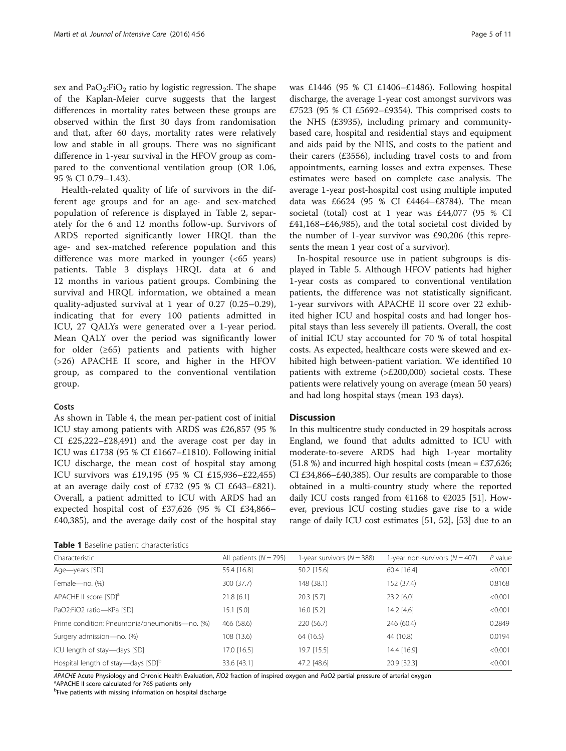<span id="page-4-0"></span>sex and  $PaO<sub>2</sub>:FiO<sub>2</sub>$  ratio by logistic regression. The shape of the Kaplan-Meier curve suggests that the largest differences in mortality rates between these groups are observed within the first 30 days from randomisation and that, after 60 days, mortality rates were relatively low and stable in all groups. There was no significant difference in 1-year survival in the HFOV group as compared to the conventional ventilation group (OR 1.06, 95 % CI 0.79–1.43).

Health-related quality of life of survivors in the different age groups and for an age- and sex-matched population of reference is displayed in Table [2,](#page-5-0) separately for the 6 and 12 months follow-up. Survivors of ARDS reported significantly lower HRQL than the age- and sex-matched reference population and this difference was more marked in younger (<65 years) patients. Table [3](#page-6-0) displays HRQL data at 6 and 12 months in various patient groups. Combining the survival and HRQL information, we obtained a mean quality-adjusted survival at 1 year of 0.27 (0.25–0.29), indicating that for every 100 patients admitted in ICU, 27 QALYs were generated over a 1-year period. Mean QALY over the period was significantly lower for older  $(≥65)$  patients and patients with higher (>26) APACHE II score, and higher in the HFOV group, as compared to the conventional ventilation group.

# Costs

As shown in Table [4,](#page-6-0) the mean per-patient cost of initial ICU stay among patients with ARDS was £26,857 (95 % CI £25,222–£28,491) and the average cost per day in ICU was £1738 (95 % CI £1667–£1810). Following initial ICU discharge, the mean cost of hospital stay among ICU survivors was £19,195 (95 % CI £15,936–£22,455) at an average daily cost of £732 (95 % CI £643–£821). Overall, a patient admitted to ICU with ARDS had an expected hospital cost of £37,626 (95 % CI £34,866– £40,385), and the average daily cost of the hospital stay

| Table 1 Baseline patient characteristics |  |  |
|------------------------------------------|--|--|
|------------------------------------------|--|--|

was £1446 (95 % CI £1406–£1486). Following hospital discharge, the average 1-year cost amongst survivors was £7523 (95 % CI £5692–£9354). This comprised costs to the NHS (£3935), including primary and communitybased care, hospital and residential stays and equipment and aids paid by the NHS, and costs to the patient and their carers (£3556), including travel costs to and from appointments, earning losses and extra expenses. These estimates were based on complete case analysis. The average 1-year post-hospital cost using multiple imputed data was £6624 (95 % CI £4464–£8784). The mean societal (total) cost at 1 year was £44,077 (95 % CI £41,168–£46,985), and the total societal cost divided by the number of 1-year survivor was £90,206 (this represents the mean 1 year cost of a survivor).

In-hospital resource use in patient subgroups is displayed in Table [5.](#page-7-0) Although HFOV patients had higher 1-year costs as compared to conventional ventilation patients, the difference was not statistically significant. 1-year survivors with APACHE II score over 22 exhibited higher ICU and hospital costs and had longer hospital stays than less severely ill patients. Overall, the cost of initial ICU stay accounted for 70 % of total hospital costs. As expected, healthcare costs were skewed and exhibited high between-patient variation. We identified 10 patients with extreme (>£200,000) societal costs. These patients were relatively young on average (mean 50 years) and had long hospital stays (mean 193 days).

### **Discussion**

In this multicentre study conducted in 29 hospitals across England, we found that adults admitted to ICU with moderate-to-severe ARDS had high 1-year mortality  $(51.8 \%)$  and incurred high hospital costs (mean = £37,626; CI £34,866–£40,385). Our results are comparable to those obtained in a multi-country study where the reported daily ICU costs ranged from €1168 to €2025 [\[51\]](#page-10-0). However, previous ICU costing studies gave rise to a wide range of daily ICU cost estimates [[51, 52\]](#page-10-0), [\[53\]](#page-10-0) due to an

| Characteristic                                 | All patients ( $N = 795$ ) | 1-year survivors $(N = 388)$ | 1-year non-survivors $(N = 407)$ | $P$ value |  |
|------------------------------------------------|----------------------------|------------------------------|----------------------------------|-----------|--|
| Age-years [SD]                                 | 55.4 [16.8]                | 50.2 [15.6]                  | 60.4 [16.4]                      | < 0.001   |  |
| Female-no. (%)                                 | 300 (37.7)                 | 148 (38.1)                   | 152 (37.4)                       | 0.8168    |  |
| APACHE II score [SD] <sup>a</sup>              | 21.8 [6.1]                 | $20.3$ [5.7]                 | 23.2 [6.0]                       | < 0.001   |  |
| PaO2:FiO2 ratio-KPa [SD]                       | $15.1$ [5.0]               | $16.0$ [5.2]                 | $14.2$ [4.6]                     | < 0.001   |  |
| Prime condition: Pneumonia/pneumonitis-no. (%) | 466 (58.6)                 | 220 (56.7)                   | 246 (60.4)                       | 0.2849    |  |
| Surgery admission-no. (%)                      | 108 (13.6)                 | 64 (16.5)                    | 44 (10.8)                        | 0.0194    |  |
| ICU length of stay-days [SD]                   | 17.0 [16.5]                | 19.7 [15.5]                  | 14.4 [16.9]                      | < 0.001   |  |
| Hospital length of stay-days [SD] <sup>b</sup> | 33.6 [43.1]                | 47.2 [48.6]                  | 20.9 [32.3]                      | < 0.001   |  |

APACHE Acute Physiology and Chronic Health Evaluation, FiO2 fraction of inspired oxygen and PaO2 partial pressure of arterial oxygen APACHE II score calculated for 765 patients only

<sup>b</sup>Five patients with missing information on hospital discharge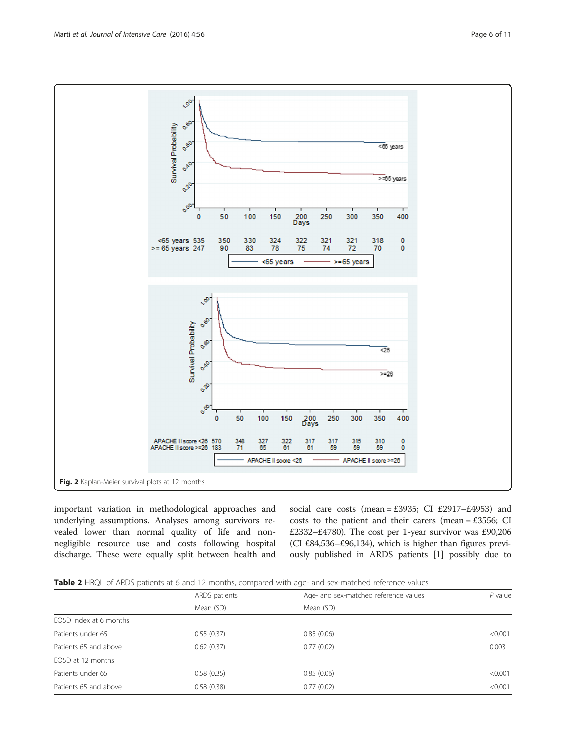<span id="page-5-0"></span>

important variation in methodological approaches and underlying assumptions. Analyses among survivors revealed lower than normal quality of life and nonnegligible resource use and costs following hospital discharge. These were equally split between health and social care costs (mean =  $£3935$ ; CI  $£2917–£4953$ ) and costs to the patient and their carers (mean =  $£3556$ ; CI £2332–£4780). The cost per 1-year survivor was £90,206 (CI £84,536–£96,134), which is higher than figures previously published in ARDS patients [\[1](#page-9-0)] possibly due to

| ARDS patients | Age- and sex-matched reference values | $P$ value |
|---------------|---------------------------------------|-----------|
| Mean (SD)     | Mean (SD)                             |           |
|               |                                       |           |
| 0.55(0.37)    | 0.85(0.06)                            | < 0.001   |
| 0.62(0.37)    | 0.77(0.02)                            | 0.003     |
|               |                                       |           |
| 0.58(0.35)    | 0.85(0.06)                            | < 0.001   |
| 0.58(0.38)    | 0.77(0.02)                            | < 0.001   |
|               |                                       |           |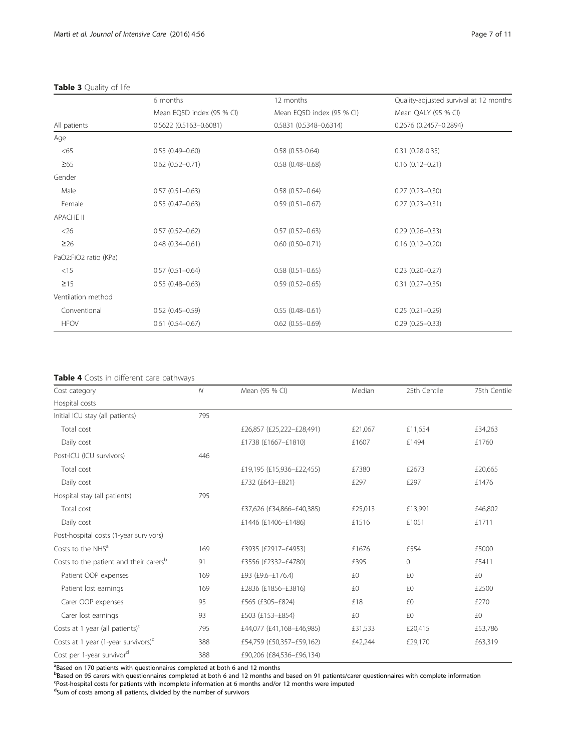|                       | 6 months                  | 12 months                 | Quality-adjusted survival at 12 months |  |  |
|-----------------------|---------------------------|---------------------------|----------------------------------------|--|--|
|                       | Mean EQ5D index (95 % CI) | Mean EQ5D index (95 % CI) | Mean QALY (95 % CI)                    |  |  |
| All patients          | $0.5622$ (0.5163-0.6081)  | 0.5831 (0.5348-0.6314)    | 0.2676 (0.2457-0.2894)                 |  |  |
| Age                   |                           |                           |                                        |  |  |
| <65                   | $0.55(0.49 - 0.60)$       | $0.58(0.53 - 0.64)$       | $0.31(0.28-0.35)$                      |  |  |
| $\geq 65$             | $0.62$ $(0.52 - 0.71)$    | $0.58(0.48 - 0.68)$       | $0.16(0.12 - 0.21)$                    |  |  |
| Gender                |                           |                           |                                        |  |  |
| Male                  | $0.57(0.51 - 0.63)$       | $0.58(0.52 - 0.64)$       | $0.27(0.23 - 0.30)$                    |  |  |
| Female                | $0.55(0.47-0.63)$         | $0.59(0.51 - 0.67)$       | $0.27(0.23 - 0.31)$                    |  |  |
| <b>APACHE II</b>      |                           |                           |                                        |  |  |
| $<$ 26                | $0.57(0.52 - 0.62)$       | $0.57(0.52 - 0.63)$       | $0.29(0.26 - 0.33)$                    |  |  |
| $\geq$ 26             | $0.48(0.34 - 0.61)$       | $0.60(0.50 - 0.71)$       | $0.16(0.12 - 0.20)$                    |  |  |
| PaO2:FiO2 ratio (KPa) |                           |                           |                                        |  |  |
| <15                   | $0.57(0.51 - 0.64)$       | $0.58(0.51 - 0.65)$       | $0.23$ $(0.20 - 0.27)$                 |  |  |
| $\geq$ 15             | $0.55(0.48 - 0.63)$       | $0.59(0.52 - 0.65)$       | $0.31(0.27 - 0.35)$                    |  |  |
| Ventilation method    |                           |                           |                                        |  |  |
| Conventional          | $0.52(0.45 - 0.59)$       | $0.55(0.48 - 0.61)$       | $0.25(0.21 - 0.29)$                    |  |  |
| <b>HFOV</b>           | $0.61(0.54 - 0.67)$       | $0.62(0.55 - 0.69)$       | $0.29(0.25 - 0.33)$                    |  |  |

# <span id="page-6-0"></span>Table 3 Quality of life

# Table 4 Costs in different care pathways

| Cost category                                      | $\mathcal N$ | Mean (95 % CI)            | Median  | 25th Centile | 75th Centile |
|----------------------------------------------------|--------------|---------------------------|---------|--------------|--------------|
| Hospital costs                                     |              |                           |         |              |              |
| Initial ICU stay (all patients)                    | 795          |                           |         |              |              |
| Total cost                                         |              | £26,857 (£25,222-£28,491) | £21,067 | £11,654      | £34,263      |
| Daily cost                                         |              | £1738 (£1667-£1810)       | £1607   | £1494        | £1760        |
| Post-ICU (ICU survivors)                           | 446          |                           |         |              |              |
| Total cost                                         |              | £19,195 (£15,936-£22,455) | £7380   | £2673        | £20,665      |
| Daily cost                                         |              | £732 (£643-£821)          | £297    | £297         | £1476        |
| Hospital stay (all patients)                       | 795          |                           |         |              |              |
| Total cost                                         |              | £37,626 (£34,866-£40,385) | £25,013 | £13,991      | £46,802      |
| Daily cost                                         |              | £1446 (£1406-£1486)       | £1516   | £1051        | £1711        |
| Post-hospital costs (1-year survivors)             |              |                           |         |              |              |
| Costs to the NHS <sup>a</sup>                      | 169          | £3935 (£2917-£4953)       | £1676   | £554         | £5000        |
| Costs to the patient and their carers <sup>b</sup> | 91           | £3556 (£2332-£4780)       | £395    | $\circ$      | £5411        |
| Patient OOP expenses                               | 169          | £93 (£9.6-£176.4)         | £0      | £0           | £0           |
| Patient lost earnings                              | 169          | £2836 (£1856-£3816)       | £0      | £0           | £2500        |
| Carer OOP expenses                                 | 95           | £565 (£305-£824)          | £18     | £0           | £270         |
| Carer lost earnings                                | 93           | £503 (£153-£854)          | £0      | £0           | £0           |
| Costs at 1 year (all patients) $c$                 | 795          | £44,077 (£41,168-£46,985) | £31,533 | £20,415      | £53,786      |
| Costs at 1 year (1-year survivors) <sup>c</sup>    | 388          | £54,759 (£50,357-£59,162) | £42,244 | £29,170      | £63,319      |
| Cost per 1-year survivor <sup>d</sup>              | 388          | £90,206 (£84,536-£96,134) |         |              |              |

<sup>a</sup>Based on 170 patients with questionnaires completed at both 6 and 12 months

b<br>Based on 95 carers with questionnaires completed at both 6 and 12 months and based on 91 patients/carer questionnaires with complete information <sup>c</sup>Post-hospital costs for patients with incomplete information at 6 months and/or 12 months were imputed

<sup>d</sup>Sum of costs among all patients, divided by the number of survivors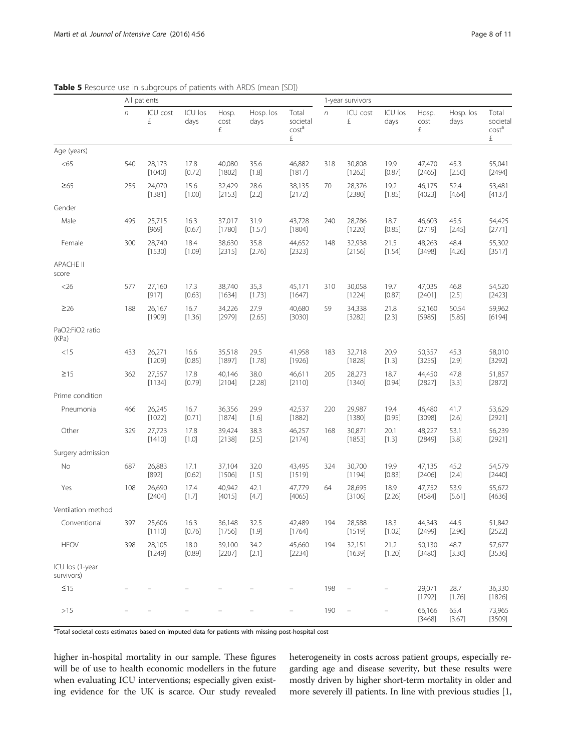|                               | All patients |                  |                 |                    | 1-year survivors  |                                             |            |                  |                        |                    |                   |                                             |
|-------------------------------|--------------|------------------|-----------------|--------------------|-------------------|---------------------------------------------|------------|------------------|------------------------|--------------------|-------------------|---------------------------------------------|
|                               | $\sqrt{n}$   | ICU cost<br>£    | ICU los<br>days | Hosp.<br>cost<br>£ | Hosp. los<br>days | Total<br>societal<br>cost <sup>a</sup><br>£ | $\sqrt{n}$ | ICU cost<br>£    | <b>ICU</b> los<br>days | Hosp.<br>cost<br>£ | Hosp. los<br>days | Total<br>societal<br>cost <sup>a</sup><br>£ |
| Age (years)                   |              |                  |                 |                    |                   |                                             |            |                  |                        |                    |                   |                                             |
| < 65                          | 540          | 28,173<br>[1040] | 17.8<br>[0.72]  | 40,080<br>[1802]   | 35.6<br>[1.8]     | 46,882<br>[1817]                            | 318        | 30,808<br>[1262] | 19.9<br>[0.87]         | 47,470<br>[2465]   | 45.3<br>[2.50]    | 55,041<br>[2494]                            |
| $\geq 65$                     | 255          | 24,070<br>[1381] | 15.6<br>[1.00]  | 32,429<br>[2153]   | 28.6<br>[2.2]     | 38,135<br>[2172]                            | 70         | 28,376<br>[2380] | 19.2<br>[1.85]         | 46,175<br>[4023]   | 52.4<br>[4.64]    | 53,481<br>[4137]                            |
| Gender                        |              |                  |                 |                    |                   |                                             |            |                  |                        |                    |                   |                                             |
| Male                          | 495          | 25,715<br>[969]  | 16.3<br>[0.67]  | 37,017<br>[1780]   | 31.9<br>[1.57]    | 43,728<br>[1804]                            | 240        | 28,786<br>[1220] | 18.7<br>[0.85]         | 46,603<br>[2719]   | 45.5<br>[2.45]    | 54,425<br>[2771]                            |
| Female                        | 300          | 28,740<br>[1530] | 18.4<br>[1.09]  | 38,630<br>[2315]   | 35.8<br>[2.76]    | 44,652<br>[2323]                            | 148        | 32,938<br>[2156] | 21.5<br>[1.54]         | 48,263<br>[3498]   | 48.4<br>[4.26]    | 55,302<br>[3517]                            |
| <b>APACHE II</b><br>score     |              |                  |                 |                    |                   |                                             |            |                  |                        |                    |                   |                                             |
| $<$ 26                        | 577          | 27,160<br>[917]  | 17.3<br>[0.63]  | 38,740<br>[1634]   | 35,3<br>[1.73]    | 45,171<br>[1647]                            | 310        | 30,058<br>[1224] | 19.7<br>[0.87]         | 47,035<br>[2401]   | 46.8<br>[2.5]     | 54,520<br>[2423]                            |
| $\geq$ 26                     | 188          | 26,167<br>[1909] | 16.7<br>[1.36]  | 34,226<br>[2979]   | 27.9<br>[2.65]    | 40,680<br>[3030]                            | 59         | 34,338<br>[3282] | 21.8<br>[2.3]          | 52,160<br>[5985]   | 50.54<br>[5.85]   | 59,962<br>[6194]                            |
| PaO2:FiO2 ratio<br>(KPa)      |              |                  |                 |                    |                   |                                             |            |                  |                        |                    |                   |                                             |
| $<$ 15                        | 433          | 26,271<br>[1209] | 16.6<br>[0.85]  | 35,518<br>[1897]   | 29.5<br>[1.78]    | 41,958<br>[1926]                            | 183        | 32,718<br>[1828] | 20.9<br>[1.3]          | 50,357<br>[3255]   | 45.3<br>$[2.9]$   | 58,010<br>[3292]                            |
| $\geq$ 15                     | 362          | 27,557<br>[1134] | 17.8<br>[0.79]  | 40,146<br>[2104]   | 38.0<br>[2.28]    | 46,611<br>[2110]                            | 205        | 28,273<br>[1340] | 18.7<br>[0.94]         | 44,450<br>[2827]   | 47.8<br>[3.3]     | 51,857<br>[2872]                            |
| Prime condition               |              |                  |                 |                    |                   |                                             |            |                  |                        |                    |                   |                                             |
| Pneumonia                     | 466          | 26,245<br>[1022] | 16.7<br>[0.71]  | 36,356<br>[1874]   | 29.9<br>$[1.6]$   | 42,537<br>[1882]                            | 220        | 29,987<br>[1380] | 19.4<br>[0.95]         | 46,480<br>[3098]   | 41.7<br>$[2.6]$   | 53,629<br>[2921]                            |
| Other                         | 329          | 27,723<br>[1410] | 17.8<br>$[1.0]$ | 39,424<br>[2138]   | 38.3<br>[2.5]     | 46,257<br>[2174]                            | 168        | 30,871<br>[1853] | 20.1<br>[1.3]          | 48,227<br>[2849]   | 53.1<br>$[3.8]$   | 56,239<br>[2921]                            |
| Surgery admission             |              |                  |                 |                    |                   |                                             |            |                  |                        |                    |                   |                                             |
| No                            | 687          | 26,883<br>[892]  | 17.1<br>[0.62]  | 37,104<br>[1506]   | 32.0<br>[1.5]     | 43,495<br>[1519]                            | 324        | 30,700<br>[1194] | 19.9<br>[0.83]         | 47,135<br>[2406]   | 45.2<br>$[2.4]$   | 54,579<br>[2440]                            |
| Yes                           | 108          | 26,690<br>[2404] | 17.4<br>[1.7]   | 40,942<br>[4015]   | 42.1<br>[4.7]     | 47,779<br>[4065]                            | 64         | 28,695<br>[3106] | 18.9<br>[2.26]         | 47,752<br>[4584]   | 53.9<br>[5.61]    | 55,672<br>[4636]                            |
| Ventilation method            |              |                  |                 |                    |                   |                                             |            |                  |                        |                    |                   |                                             |
| Conventional                  | 397          | 25,606<br>[1110] | 16.3<br>[0.76]  | 36,148<br>[1756]   | 32.5<br>[1.9]     | 42,489<br>[1764]                            | 194        | 28,588<br>[1519] | 18.3<br>[1.02]         | 44,343<br>[2499]   | 44.5<br>[2.96]    | 51,842<br>[2522]                            |
| <b>HFOV</b>                   | 398          | 28,105<br>[1249] | 18.0<br>[0.89]  | 39,100<br>[2207]   | 34.2<br>[2.1]     | 45,660<br>[2234]                            | 194        | 32,151<br>[1639] | 21.2<br>[1.20]         | 50,130<br>[3480]   | 48.7<br>[3.30]    | 57,677<br>[3536]                            |
| ICU los (1-year<br>survivors) |              |                  |                 |                    |                   |                                             |            |                  |                        |                    |                   |                                             |
| $\leq 15$                     |              |                  |                 |                    |                   |                                             | 198        |                  |                        | 29,071<br>[1792]   | 28.7<br>[1.76]    | 36,330<br>[1826]                            |
| >15                           |              |                  |                 |                    |                   |                                             | 190        |                  |                        | 66,166<br>[3468]   | 65.4<br>[3.67]    | 73,965<br>[3509]                            |

<span id="page-7-0"></span>**Table 5** Resource use in subgroups of patients with ARDS (mean [SD])

<sup>a</sup>Total societal costs estimates based on imputed data for patients with missing post-hospital cost

higher in-hospital mortality in our sample. These figures will be of use to health economic modellers in the future when evaluating ICU interventions; especially given existing evidence for the UK is scarce. Our study revealed heterogeneity in costs across patient groups, especially regarding age and disease severity, but these results were mostly driven by higher short-term mortality in older and more severely ill patients. In line with previous studies [[1](#page-9-0),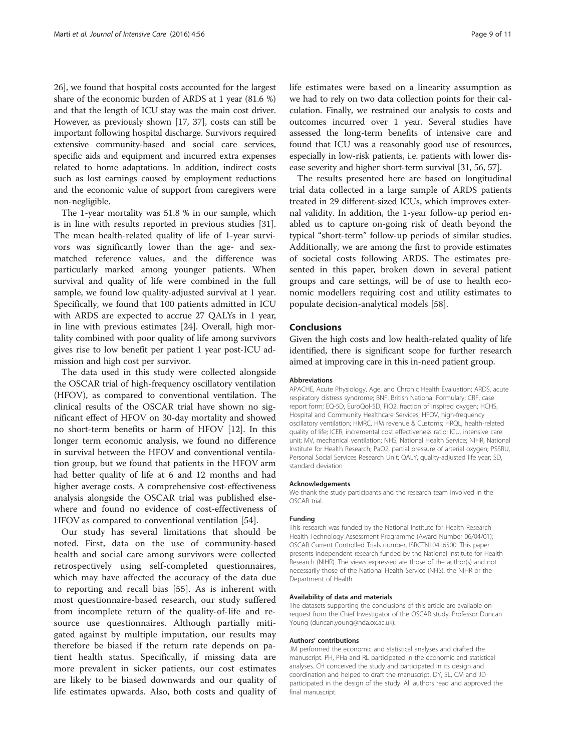[26](#page-9-0)], we found that hospital costs accounted for the largest share of the economic burden of ARDS at 1 year (81.6 %) and that the length of ICU stay was the main cost driver. However, as previously shown [\[17](#page-9-0), [37\]](#page-9-0), costs can still be important following hospital discharge. Survivors required extensive community-based and social care services, specific aids and equipment and incurred extra expenses related to home adaptations. In addition, indirect costs such as lost earnings caused by employment reductions and the economic value of support from caregivers were non-negligible.

The 1-year mortality was 51.8 % in our sample, which is in line with results reported in previous studies [\[31](#page-9-0)]. The mean health-related quality of life of 1-year survivors was significantly lower than the age- and sexmatched reference values, and the difference was particularly marked among younger patients. When survival and quality of life were combined in the full sample, we found low quality-adjusted survival at 1 year. Specifically, we found that 100 patients admitted in ICU with ARDS are expected to accrue 27 QALYs in 1 year, in line with previous estimates [\[24\]](#page-9-0). Overall, high mortality combined with poor quality of life among survivors gives rise to low benefit per patient 1 year post-ICU admission and high cost per survivor.

The data used in this study were collected alongside the OSCAR trial of high-frequency oscillatory ventilation (HFOV), as compared to conventional ventilation. The clinical results of the OSCAR trial have shown no significant effect of HFOV on 30-day mortality and showed no short-term benefits or harm of HFOV [[12\]](#page-9-0). In this longer term economic analysis, we found no difference in survival between the HFOV and conventional ventilation group, but we found that patients in the HFOV arm had better quality of life at 6 and 12 months and had higher average costs. A comprehensive cost-effectiveness analysis alongside the OSCAR trial was published elsewhere and found no evidence of cost-effectiveness of HFOV as compared to conventional ventilation [[54\]](#page-10-0).

Our study has several limitations that should be noted. First, data on the use of community-based health and social care among survivors were collected retrospectively using self-completed questionnaires, which may have affected the accuracy of the data due to reporting and recall bias [\[55](#page-10-0)]. As is inherent with most questionnaire-based research, our study suffered from incomplete return of the quality-of-life and resource use questionnaires. Although partially mitigated against by multiple imputation, our results may therefore be biased if the return rate depends on patient health status. Specifically, if missing data are more prevalent in sicker patients, our cost estimates are likely to be biased downwards and our quality of life estimates upwards. Also, both costs and quality of life estimates were based on a linearity assumption as we had to rely on two data collection points for their calculation. Finally, we restrained our analysis to costs and outcomes incurred over 1 year. Several studies have assessed the long-term benefits of intensive care and found that ICU was a reasonably good use of resources, especially in low-risk patients, i.e. patients with lower disease severity and higher short-term survival [[31](#page-9-0), [56, 57](#page-10-0)].

The results presented here are based on longitudinal trial data collected in a large sample of ARDS patients treated in 29 different-sized ICUs, which improves external validity. In addition, the 1-year follow-up period enabled us to capture on-going risk of death beyond the typical "short-term" follow-up periods of similar studies. Additionally, we are among the first to provide estimates of societal costs following ARDS. The estimates presented in this paper, broken down in several patient groups and care settings, will be of use to health economic modellers requiring cost and utility estimates to populate decision-analytical models [[58\]](#page-10-0).

# Conclusions

Given the high costs and low health-related quality of life identified, there is significant scope for further research aimed at improving care in this in-need patient group.

#### Abbreviations

APACHE, Acute Physiology, Age, and Chronic Health Evaluation; ARDS, acute respiratory distress syndrome; BNF, British National Formulary; CRF, case report form; EQ-5D, EuroQol-5D; FiO2, fraction of inspired oxygen; HCHS, Hospital and Community Healthcare Services; HFOV, high-frequency oscillatory ventilation; HMRC, HM revenue & Customs; HRQL, health-related quality of life; ICER, incremental cost effectiveness ratio; ICU, intensive care unit; MV, mechanical ventilation; NHS, National Health Service; NIHR, National Institute for Health Research; PaO2, partial pressure of arterial oxygen; PSSRU, Personal Social Services Research Unit; QALY, quality-adjusted life year; SD, standard deviation

#### Acknowledgements

We thank the study participants and the research team involved in the OSCAR trial.

#### Funding

This research was funded by the National Institute for Health Research Health Technology Assessment Programme (Award Number 06/04/01); OSCAR Current Controlled Trials number, ISRCTN10416500. This paper presents independent research funded by the National Institute for Health Research (NIHR). The views expressed are those of the author(s) and not necessarily those of the National Health Service (NHS), the NIHR or the Department of Health.

### Availability of data and materials

The datasets supporting the conclusions of this article are available on request from the Chief Investigator of the OSCAR study, Professor Duncan Young (duncan.young@nda.ox.ac.uk).

### Authors' contributions

JM performed the economic and statistical analyses and drafted the manuscript. PH, PHa and RL participated in the economic and statistical analyses. CH conceived the study and participated in its design and coordination and helped to draft the manuscript. DY, SL, CM and JD participated in the design of the study. All authors read and approved the final manuscript.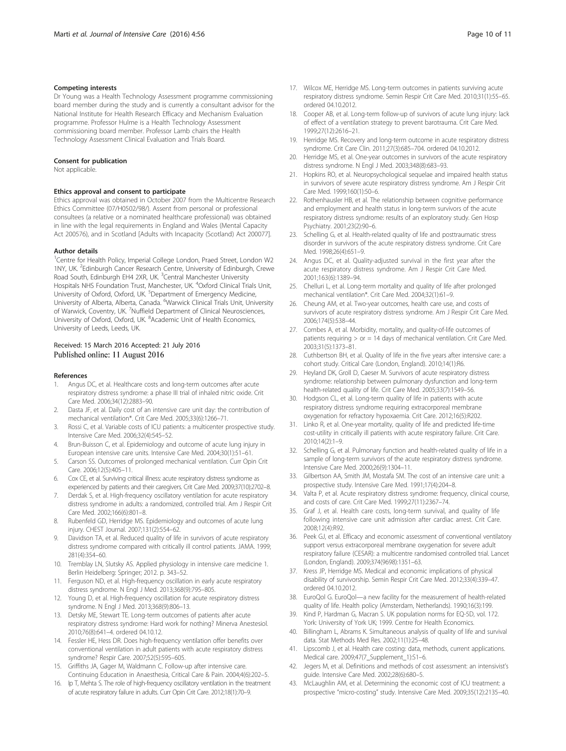### <span id="page-9-0"></span>Competing interests

Dr Young was a Health Technology Assessment programme commissioning board member during the study and is currently a consultant advisor for the National Institute for Health Research Efficacy and Mechanism Evaluation programme. Professor Hulme is a Health Technology Assessment commissioning board member. Professor Lamb chairs the Health Technology Assessment Clinical Evaluation and Trials Board.

#### Consent for publication

Not applicable.

### Ethics approval and consent to participate

Ethics approval was obtained in October 2007 from the Multicentre Research Ethics Committee (07/H0502/98/). Assent from personal or professional consultees (a relative or a nominated healthcare professional) was obtained in line with the legal requirements in England and Wales (Mental Capacity Act 200576), and in Scotland [Adults with Incapacity (Scotland) Act 200077].

#### Author details

<sup>1</sup>Centre for Health Policy, Imperial College London, Praed Street, London W2 1NY, UK. <sup>2</sup>Edinburgh Cancer Research Centre, University of Edinburgh, Crewe Road South, Edinburgh EH4 2XR, UK. <sup>3</sup>Central Manchester University Hospitals NHS Foundation Trust, Manchester, UK. <sup>4</sup>Oxford Clinical Trials Unit, University of Oxford, Oxford, UK. <sup>5</sup>Department of Emergency Medicine, University of Alberta, Alberta, Canada. <sup>6</sup>Warwick Clinical Trials Unit, University of Warwick, Coventry, UK. <sup>7</sup>Nuffield Department of Clinical Neurosciences, University of Oxford, Oxford, UK. <sup>8</sup>Academic Unit of Health Economics, University of Leeds, Leeds, UK.

### Received: 15 March 2016 Accepted: 21 July 2016 Published online: 11 August 2016

#### References

- 1. Angus DC, et al. Healthcare costs and long-term outcomes after acute respiratory distress syndrome: a phase III trial of inhaled nitric oxide. Crit Care Med. 2006;34(12):2883–90.
- 2. Dasta JF, et al. Daily cost of an intensive care unit day: the contribution of mechanical ventilation\*. Crit Care Med. 2005;33(6):1266–71.
- 3. Rossi C, et al. Variable costs of ICU patients: a multicenter prospective study. Intensive Care Med. 2006;32(4):545–52.
- 4. Brun-Buisson C, et al. Epidemiology and outcome of acute lung injury in European intensive care units. Intensive Care Med. 2004;30(1):51–61.
- 5. Carson SS. Outcomes of prolonged mechanical ventilation. Curr Opin Crit Care. 2006;12(5):405–11.
- 6. Cox CE, et al. Surviving critical illness: acute respiratory distress syndrome as experienced by patients and their caregivers. Crit Care Med. 2009;37(10):2702–8.
- 7. Derdak S, et al. High-frequency oscillatory ventilation for acute respiratory distress syndrome in adults: a randomized, controlled trial. Am J Respir Crit Care Med. 2002;166(6):801–8.
- 8. Rubenfeld GD, Herridge MS. Epidemiology and outcomes of acute lung injury. CHEST Journal. 2007;131(2):554–62.
- 9. Davidson TA, et al. Reduced quality of life in survivors of acute respiratory distress syndrome compared with critically ill control patients. JAMA. 1999; 281(4):354–60.
- 10. Tremblay LN, Slutsky AS. Applied physiology in intensive care medicine 1. Berlin Heidelberg: Springer; 2012. p. 343–52.
- 11. Ferguson ND, et al. High-frequency oscillation in early acute respiratory distress syndrome. N Engl J Med. 2013;368(9):795–805.
- 12. Young D, et al. High-frequency oscillation for acute respiratory distress syndrome. N Engl J Med. 2013;368(9):806–13.
- 13. Detsky ME, Stewart TE. Long-term outcomes of patients after acute respiratory distress syndrome: Hard work for nothing? Minerva Anestesiol. 2010;76(8):641–4. ordered 04.10.12.
- 14. Fessler HE, Hess DR. Does high-frequency ventilation offer benefits over conventional ventilation in adult patients with acute respiratory distress syndrome? Respir Care. 2007;52(5):595–605.
- 15. Griffiths JA, Gager M, Waldmann C. Follow-up after intensive care. Continuing Education in Anaesthesia, Critical Care & Pain. 2004;4(6):202–5.
- 16. Ip T, Mehta S. The role of high-frequency oscillatory ventilation in the treatment of acute respiratory failure in adults. Curr Opin Crit Care. 2012;18(1):70–9.
- 17. Wilcox ME, Herridge MS. Long-term outcomes in patients surviving acute respiratory distress syndrome. Semin Respir Crit Care Med. 2010;31(1):55–65. ordered 04.10.2012.
- 18. Cooper AB, et al. Long-term follow-up of survivors of acute lung injury: lack of effect of a ventilation strategy to prevent barotrauma. Crit Care Med. 1999;27(12):2616–21.
- 19. Herridge MS. Recovery and long-term outcome in acute respiratory distress syndrome. Crit Care Clin. 2011;27(3):685–704. ordered 04.10.2012.
- 20. Herridge MS, et al. One-year outcomes in survivors of the acute respiratory distress syndrome. N Engl J Med. 2003;348(8):683–93.
- 21. Hopkins RO, et al. Neuropsychological sequelae and impaired health status in survivors of severe acute respiratory distress syndrome. Am J Respir Crit Care Med. 1999;160(1):50–6.
- 22. Rothenhausler HB, et al. The relationship between cognitive performance and employment and health status in long-term survivors of the acute respiratory distress syndrome: results of an exploratory study. Gen Hosp Psychiatry. 2001;23(2):90–6.
- 23. Schelling G, et al. Health-related quality of life and posttraumatic stress disorder in survivors of the acute respiratory distress syndrome. Crit Care Med. 1998;26(4):651–9.
- 24. Angus DC, et al. Quality-adjusted survival in the first year after the acute respiratory distress syndrome. Am J Respir Crit Care Med. 2001;163(6):1389–94.
- 25. Chelluri L, et al. Long-term mortality and quality of life after prolonged mechanical ventilation\*. Crit Care Med. 2004;32(1):61–9.
- 26. Cheung AM, et al. Two-year outcomes, health care use, and costs of survivors of acute respiratory distress syndrome. Am J Respir Crit Care Med. 2006;174(5):538–44.
- 27. Combes A, et al. Morbidity, mortality, and quality-of-life outcomes of patients requiring > or = 14 days of mechanical ventilation. Crit Care Med. 2003;31(5):1373–81.
- 28. Cuthbertson BH, et al. Quality of life in the five years after intensive care: a cohort study. Critical Care (London, England). 2010;14(1):R6.
- 29. Heyland DK, Groll D, Caeser M. Survivors of acute respiratory distress syndrome: relationship between pulmonary dysfunction and long-term health-related quality of life. Crit Care Med. 2005;33(7):1549–56.
- 30. Hodgson CL, et al. Long-term quality of life in patients with acute respiratory distress syndrome requiring extracorporeal membrane oxygenation for refractory hypoxaemia. Crit Care. 2012;16(5):R202.
- 31. Linko R, et al. One-year mortality, quality of life and predicted life-time cost-utility in critically ill patients with acute respiratory failure. Crit Care. 2010;14(2):1–9.
- 32. Schelling G, et al. Pulmonary function and health-related quality of life in a sample of long-term survivors of the acute respiratory distress syndrome. Intensive Care Med. 2000;26(9):1304–11.
- 33. Gilbertson AA, Smith JM, Mostafa SM. The cost of an intensive care unit: a prospective study. Intensive Care Med. 1991;17(4):204–8.
- 34. Valta P, et al. Acute respiratory distress syndrome: frequency, clinical course, and costs of care. Crit Care Med. 1999;27(11):2367–74.
- 35. Graf J, et al. Health care costs, long-term survival, and quality of life following intensive care unit admission after cardiac arrest. Crit Care. 2008;12(4):R92.
- 36. Peek GJ, et al. Efficacy and economic assessment of conventional ventilatory support versus extracorporeal membrane oxygenation for severe adult respiratory failure (CESAR): a multicentre randomised controlled trial. Lancet (London, England). 2009;374(9698):1351–63.
- 37. Kress JP, Herridge MS. Medical and economic implications of physical disability of survivorship. Semin Respir Crit Care Med. 2012;33(4):339–47. ordered 04.10.2012.
- 38. EuroQol G. EuroQol—a new facility for the measurement of health-related quality of life. Health policy (Amsterdam, Netherlands). 1990;16(3):199.
- 39. Kind P, Hardman G, Macran S. UK population norms for EQ-5D, vol. 172. York: University of York UK; 1999. Centre for Health Economics.
- 40. Billingham L, Abrams K. Simultaneous analysis of quality of life and survival data. Stat Methods Med Res. 2002;11(1):25–48.
- 41. Lipscomb J, et al. Health care costing: data, methods, current applications. Medical care. 2009;47(7\_Supplement\_1):S1–6.
- 42. Jegers M, et al. Definitions and methods of cost assessment: an intensivist's guide. Intensive Care Med. 2002;28(6):680–5.
- 43. McLaughlin AM, et al. Determining the economic cost of ICU treatment: a prospective "micro-costing" study. Intensive Care Med. 2009;35(12):2135–40.